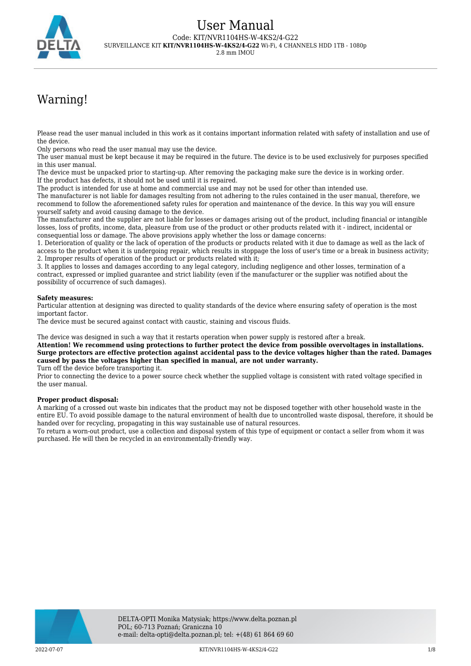

# Warning!

Please read the user manual included in this work as it contains important information related with safety of installation and use of the device.

Only persons who read the user manual may use the device.

The user manual must be kept because it may be required in the future. The device is to be used exclusively for purposes specified in this user manual.

The device must be unpacked prior to starting-up. After removing the packaging make sure the device is in working order. If the product has defects, it should not be used until it is repaired.

The product is intended for use at home and commercial use and may not be used for other than intended use.

The manufacturer is not liable for damages resulting from not adhering to the rules contained in the user manual, therefore, we recommend to follow the aforementioned safety rules for operation and maintenance of the device. In this way you will ensure yourself safety and avoid causing damage to the device.

The manufacturer and the supplier are not liable for losses or damages arising out of the product, including financial or intangible losses, loss of profits, income, data, pleasure from use of the product or other products related with it - indirect, incidental or consequential loss or damage. The above provisions apply whether the loss or damage concerns:

1. Deterioration of quality or the lack of operation of the products or products related with it due to damage as well as the lack of access to the product when it is undergoing repair, which results in stoppage the loss of user's time or a break in business activity; 2. Improper results of operation of the product or products related with it;

3. It applies to losses and damages according to any legal category, including negligence and other losses, termination of a contract, expressed or implied guarantee and strict liability (even if the manufacturer or the supplier was notified about the possibility of occurrence of such damages).

#### **Safety measures:**

Particular attention at designing was directed to quality standards of the device where ensuring safety of operation is the most important factor.

The device must be secured against contact with caustic, staining and viscous fluids.

The device was designed in such a way that it restarts operation when power supply is restored after a break.

**Attention! We recommend using protections to further protect the device from possible overvoltages in installations. Surge protectors are effective protection against accidental pass to the device voltages higher than the rated. Damages caused by pass the voltages higher than specified in manual, are not under warranty.**

Turn off the device before transporting it.

Prior to connecting the device to a power source check whether the supplied voltage is consistent with rated voltage specified in the user manual.

#### **Proper product disposal:**

A marking of a crossed out waste bin indicates that the product may not be disposed together with other household waste in the entire EU. To avoid possible damage to the natural environment of health due to uncontrolled waste disposal, therefore, it should be handed over for recycling, propagating in this way sustainable use of natural resources.

To return a worn-out product, use a collection and disposal system of this type of equipment or contact a seller from whom it was purchased. He will then be recycled in an environmentally-friendly way.

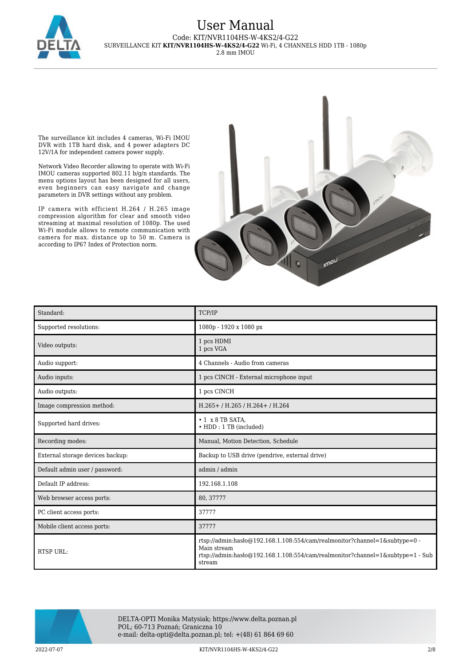

2.8 mm IMOU

The surveillance kit includes 4 cameras, Wi-Fi IMOU DVR with 1TB hard disk, and 4 power adapters DC 12V/1A for independent camera power supply.

Network Video Recorder allowing to operate with Wi-Fi IMOU cameras supported 802.11 b/g/n standards. The menu options layout has been designed for all users, even beginners can easy navigate and change parameters in DVR settings without any problem.

IP camera with efficient H.264 / H.265 image compression algorithm for clear and smooth video streaming at maximal resolution of 1080p. The used Wi-Fi module allows to remote communication with camera for max. distance up to 50 m. Camera is according to IP67 Index of Protection norm.



| Standard:                        | TCP/IP                                                                                                                                                                                    |
|----------------------------------|-------------------------------------------------------------------------------------------------------------------------------------------------------------------------------------------|
| Supported resolutions:           | 1080p - 1920 x 1080 px                                                                                                                                                                    |
| Video outputs:                   | 1 pcs HDMI<br>1 pcs VGA                                                                                                                                                                   |
| Audio support:                   | 4 Channels - Audio from cameras                                                                                                                                                           |
| Audio inputs:                    | 1 pcs CINCH - External microphone input                                                                                                                                                   |
| Audio outputs:                   | 1 pcs CINCH                                                                                                                                                                               |
| Image compression method:        | H.265+/H.265/H.264+/H.264                                                                                                                                                                 |
| Supported hard drives:           | $\cdot$ 1 $\times$ 8 TB SATA.<br>• HDD: 1 TB (included)                                                                                                                                   |
| Recording modes:                 | Manual, Motion Detection, Schedule                                                                                                                                                        |
| External storage devices backup: | Backup to USB drive (pendrive, external drive)                                                                                                                                            |
| Default admin user / password:   | admin / admin                                                                                                                                                                             |
| Default IP address:              | 192.168.1.108                                                                                                                                                                             |
| Web browser access ports:        | 80, 37777                                                                                                                                                                                 |
| PC client access ports:          | 37777                                                                                                                                                                                     |
| Mobile client access ports:      | 37777                                                                                                                                                                                     |
| <b>RTSP URL:</b>                 | rtsp://admin.hasho@192.168.1.108:554/cam/realmonitor?channel=1&subtype=0 -<br>Main stream<br>rtsp://admin:haslo $@192.168.1.108.554/cam/realmonitor?channel=1$ &subtype=1 - Sub<br>stream |



DELTA-OPTI Monika Matysiak; https://www.delta.poznan.pl POL; 60-713 Poznań; Graniczna 10 e-mail: delta-opti@delta.poznan.pl; tel: +(48) 61 864 69 60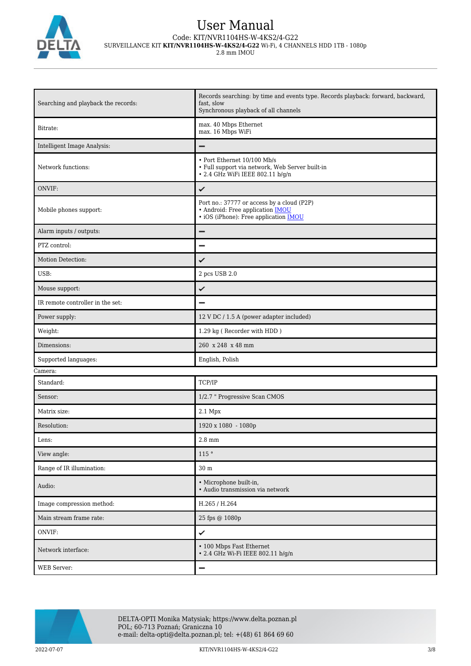

2.8 mm IMOU

| Searching and playback the records: | Records searching: by time and events type. Records playback: forward, backward,<br>fast, slow<br>Synchronous playback of all channels |
|-------------------------------------|----------------------------------------------------------------------------------------------------------------------------------------|
| Bitrate:                            | max. 40 Mbps Ethernet<br>max. 16 Mbps WiFi                                                                                             |
| Intelligent Image Analysis:         | -                                                                                                                                      |
| Network functions:                  | • Port Ethernet 10/100 Mb/s<br>• Full support via network, Web Server built-in<br>• 2.4 GHz WiFi IEEE 802.11 b/g/n                     |
| ONVIF:                              | ✓                                                                                                                                      |
| Mobile phones support:              | Port no.: 37777 or access by a cloud (P2P)<br>• Android: Free application <b>IMOU</b><br>· iOS (iPhone): Free application <b>IMOU</b>  |
| Alarm inputs / outputs:             | -                                                                                                                                      |
| PTZ control:                        |                                                                                                                                        |
| Motion Detection:                   | ✓                                                                                                                                      |
| USB:                                | 2 pcs USB 2.0                                                                                                                          |
| Mouse support:                      | ✓                                                                                                                                      |
| IR remote controller in the set:    |                                                                                                                                        |
| Power supply:                       | 12 V DC / 1.5 A (power adapter included)                                                                                               |
| Weight:                             | 1.29 kg (Recorder with HDD)                                                                                                            |
| Dimensions:                         | 260 x 248 x 48 mm                                                                                                                      |
| Supported languages:                | English, Polish                                                                                                                        |
| Camera:                             |                                                                                                                                        |
| Standard:                           | TCP/IP                                                                                                                                 |
| Sensor:                             | 1/2.7 " Progressive Scan CMOS                                                                                                          |
| Matrix size:                        | 2.1 Mpx                                                                                                                                |
| Resolution:                         | 1920 x 1080 - 1080p                                                                                                                    |
| Lens:                               | $2.8 \text{ mm}$                                                                                                                       |
| View angle:                         | $115$ $^{\circ}$                                                                                                                       |
| Range of IR illumination:           | $30\;\mathrm{m}$                                                                                                                       |
| Audio:                              | · Microphone built-in,<br>· Audio transmission via network                                                                             |
| Image compression method:           | H.265 / H.264                                                                                                                          |
| Main stream frame rate:             | 25 fps @ 1080p                                                                                                                         |
| ONVIF:                              | ✓                                                                                                                                      |
| Network interface:                  | • 100 Mbps Fast Ethernet<br>• 2.4 GHz Wi-Fi IEEE 802.11 b/g/n                                                                          |
| WEB Server:                         | -                                                                                                                                      |

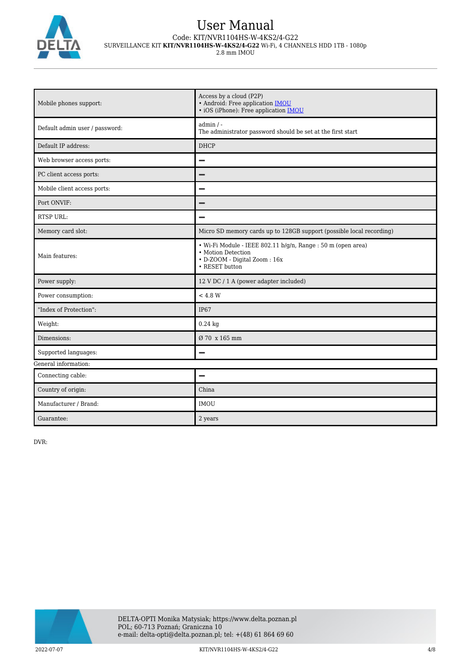

2.8 mm IMOU

| Mobile phones support:         | Access by a cloud (P2P)<br>· Android: Free application <b>IMOU</b><br>· iOS (iPhone): Free application <b>IMOU</b>                   |  |
|--------------------------------|--------------------------------------------------------------------------------------------------------------------------------------|--|
| Default admin user / password: | $admin / -$<br>The administrator password should be set at the first start                                                           |  |
| Default IP address:            | <b>DHCP</b>                                                                                                                          |  |
| Web browser access ports:      |                                                                                                                                      |  |
| PC client access ports:        |                                                                                                                                      |  |
| Mobile client access ports:    |                                                                                                                                      |  |
| Port ONVIF:                    |                                                                                                                                      |  |
| <b>RTSP URL:</b>               |                                                                                                                                      |  |
| Memory card slot:              | Micro SD memory cards up to 128GB support (possible local recording)                                                                 |  |
| Main features:                 | · Wi-Fi Module - IEEE 802.11 b/g/n, Range : 50 m (open area)<br>• Motion Detection<br>• D-ZOOM - Digital Zoom: 16x<br>• RESET button |  |
| Power supply:                  | 12 V DC / 1 A (power adapter included)                                                                                               |  |
| Power consumption:             | < 4.8 W                                                                                                                              |  |
| "Index of Protection":         | <b>IP67</b>                                                                                                                          |  |
| Weight:                        | $0.24$ kg                                                                                                                            |  |
| Dimensions:                    | Ø 70 x 165 mm                                                                                                                        |  |
| Supported languages:           |                                                                                                                                      |  |
| General information:           |                                                                                                                                      |  |
| Connecting cable:              | -                                                                                                                                    |  |
| Country of origin:             | China                                                                                                                                |  |
| Manufacturer / Brand:          | <b>IMOU</b>                                                                                                                          |  |
| Guarantee:                     | 2 years                                                                                                                              |  |

DVR:

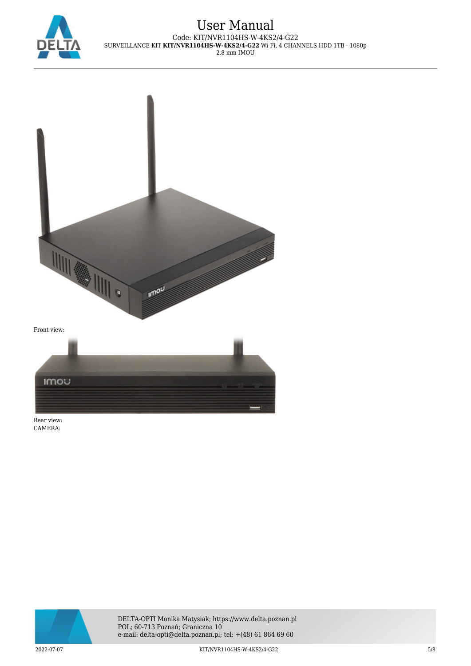



Rear view: CAMERA:

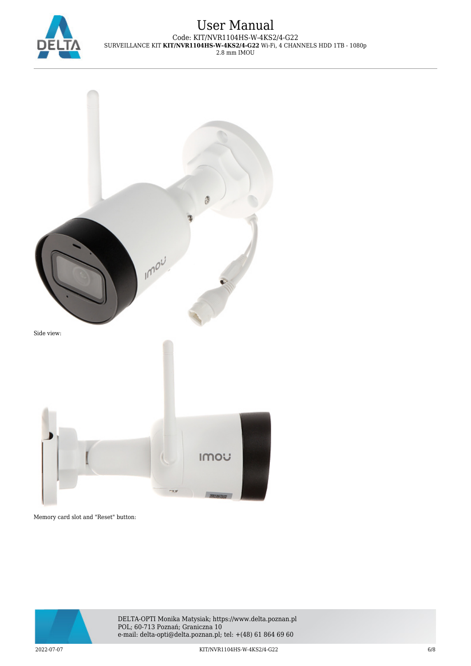



Memory card slot and "Reset" button:

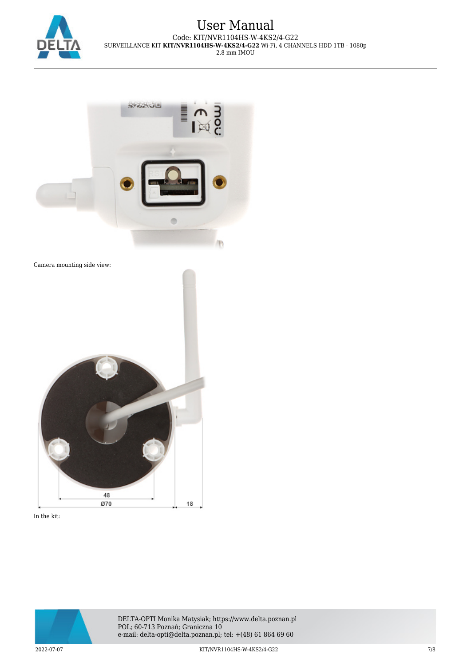



Camera mounting side view:



In the kit: